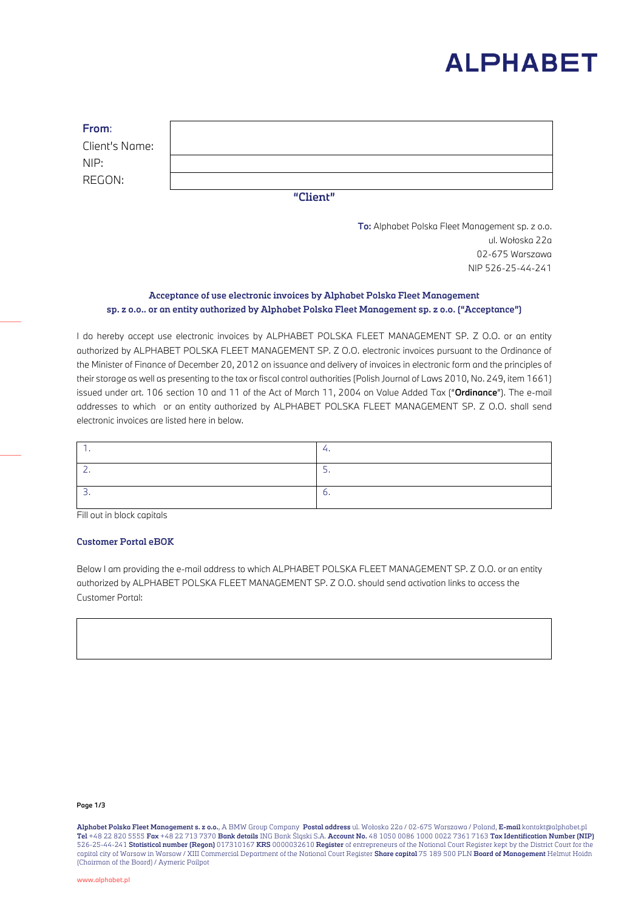

| From:          |  |  |
|----------------|--|--|
| Client's Name: |  |  |
| NIP:           |  |  |
| REGON:         |  |  |
| "Client"       |  |  |

**To:** Alphabet Polska Fleet Management sp. z o.o. ul. Wołoska 22a 02-675 Warszawa NIP 526-25-44-241

## **Acceptance of use electronic invoices by Alphabet Polska Fleet Management sp. z o.o.. or an entity authorized by Alphabet Polska Fleet Management sp. z o.o. ("Acceptance")**

I do hereby accept use electronic invoices by ALPHABET POLSKA FLEET MANAGEMENT SP. Z O.O. or an entity authorized by ALPHABET POLSKA FLEET MANAGEMENT SP. Z O.O. electronic invoices pursuant to the Ordinance of the Minister of Finance of December 20, 2012 on issuance and delivery of invoices in electronic form and the principles of their storage as well as presenting to the tax or fiscal control authorities (Polish Journal of Laws 2010, No. 249, item 1661) issued under art. 106 section 10 and 11 of the Act of March 11, 2004 on Value Added Tax ("**Ordinance**"). The e-mail addresses to which or an entity authorized by ALPHABET POLSKA FLEET MANAGEMENT SP. Z O.O. shall send electronic invoices are listed here in below.

*Fill out in block capitals*

#### **Customer Portal eBOK**

Below I am providing the e-mail address to which ALPHABET POLSKA FLEET MANAGEMENT SP. Z O.O. or an entity authorized by ALPHABET POLSKA FLEET MANAGEMENT SP. Z O.O. should send activation links to access the Customer Portal:

#### **Page 1/3**

**Alphabet Polska Fleet Management s. z o.o.**, A BMW Group Company **Postal address** ul. Wołoska 22a / 02-675 Warszawa / Poland, **E-mail** kontakt@alphabet.pl **Tel** +48 22 820 5555 **Fax** +48 22 713 7370 **Bank details** ING Bank Śląski S.A. **Account No.** 48 1050 0086 1000 0022 7361 7163 **Tax Identification Number (NIP)** 526-25-44-241 **Statistical number (Regon)** 017310167 **KRS** 0000032610 **Register** of entrepreneurs of the National Court Register kept by the District Court for the capital city of Warsaw in Warsaw / XIII Commercial Department of the National Court Register **Share capital** 75 189 500 PLN **Board of Management** Helmut Hoidn (Chairman of the Board) / Aymeric Poilpot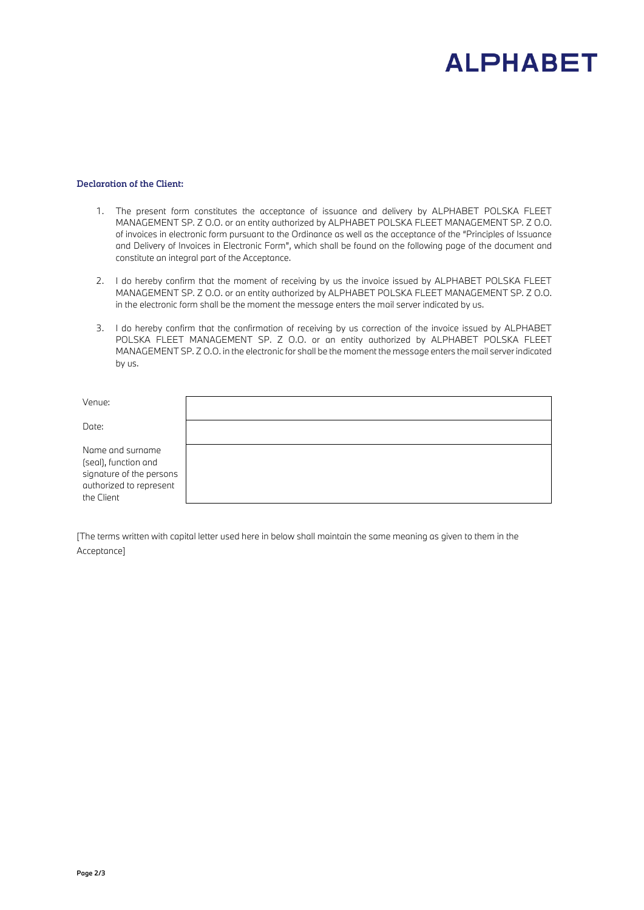# **ALPHABET**

### **Declaration of the Client:**

- 1. The present form constitutes the acceptance of issuance and delivery by ALPHABET POLSKA FLEET MANAGEMENT SP. Z O.O. or an entity authorized by ALPHABET POLSKA FLEET MANAGEMENT SP. Z O.O. of invoices in electronic form pursuant to the Ordinance as well as the acceptance of the "Principles of Issuance and Delivery of Invoices in Electronic Form", which shall be found on the following page of the document and constitute an integral part of the Acceptance.
- 2. I do hereby confirm that the moment of receiving by us the invoice issued by ALPHABET POLSKA FLEET MANAGEMENT SP. Z O.O. or an entity authorized by ALPHABET POLSKA FLEET MANAGEMENT SP. Z O.O. in the electronic form shall be the moment the message enters the mail server indicated by us.
- 3. I do hereby confirm that the confirmation of receiving by us correction of the invoice issued by ALPHABET POLSKA FLEET MANAGEMENT SP. Z O.O. or an entity authorized by ALPHABET POLSKA FLEET MANAGEMENT SP. Z O.O. in the electronic for shall be the moment the message enters the mail server indicated by us.

| Venue:                                                                                                        |  |
|---------------------------------------------------------------------------------------------------------------|--|
| Date:                                                                                                         |  |
| Name and surname<br>(seal), function and<br>signature of the persons<br>authorized to represent<br>the Client |  |

*[The terms written with capital letter used here in below shall maintain the same meaning as given to them in the Acceptance]*